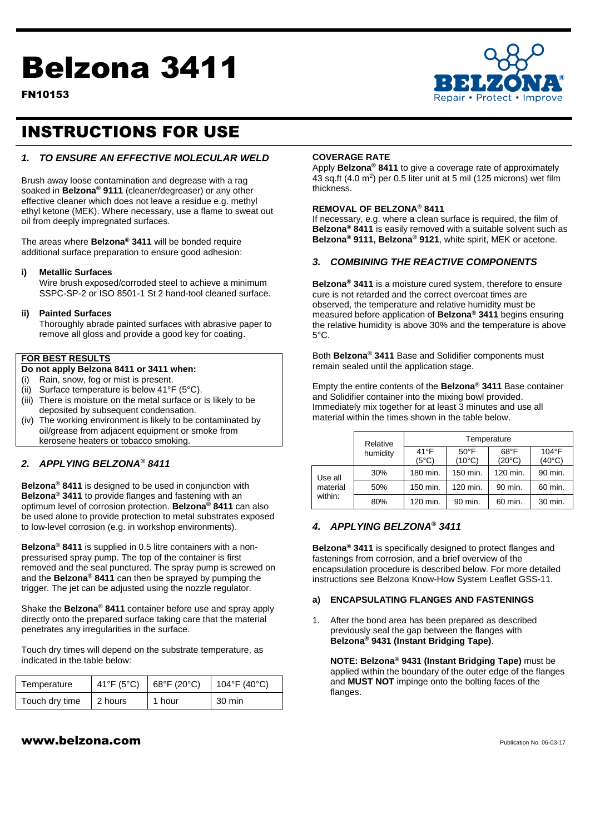# Belzona 3411

FN10153



# INSTRUCTIONS FOR USE

### *1. TO ENSURE AN EFFECTIVE MOLECULAR WELD*

Brush away loose contamination and degrease with a rag soaked in **Belzona® 9111** (cleaner/degreaser) or any other effective cleaner which does not leave a residue e.g. methyl ethyl ketone (MEK). Where necessary, use a flame to sweat out oil from deeply impregnated surfaces.

The areas where **Belzona® 3411** will be bonded require additional surface preparation to ensure good adhesion:

#### **i) Metallic Surfaces**

Wire brush exposed/corroded steel to achieve a minimum SSPC-SP-2 or ISO 8501-1 St 2 hand-tool cleaned surface.

#### **ii) Painted Surfaces**

Thoroughly abrade painted surfaces with abrasive paper to remove all gloss and provide a good key for coating.

#### **FOR BEST RESULTS**

#### **Do not apply Belzona 8411 or 3411 when:**

- (i) Rain, snow, fog or mist is present.
- (ii) Surface temperature is below 41°F (5°C).
- (iii) There is moisture on the metal surface or is likely to be deposited by subsequent condensation.
- (iv) The working environment is likely to be contaminated by oil/grease from adjacent equipment or smoke from kerosene heaters or tobacco smoking.

#### *2. APPLYING BELZONA® 8411*

**Belzona® 8411** is designed to be used in conjunction with **Belzona® 3411** to provide flanges and fastening with an optimum level of corrosion protection. **Belzona® 8411** can also be used alone to provide protection to metal substrates exposed to low-level corrosion (e.g. in workshop environments).

**Belzona® 8411** is supplied in 0.5 litre containers with a nonpressurised spray pump. The top of the container is first removed and the seal punctured. The spray pump is screwed on and the **Belzona® 8411** can then be sprayed by pumping the trigger. The jet can be adjusted using the nozzle regulator.

Shake the **Belzona® 8411** container before use and spray apply directly onto the prepared surface taking care that the material penetrates any irregularities in the surface.

Touch dry times will depend on the substrate temperature, as indicated in the table below:

| Temperature    | $41^{\circ}F(5^{\circ}C)$ | $\vert$ 68°F (20°C) | 104°F (40°C) |
|----------------|---------------------------|---------------------|--------------|
| Touch dry time | 2 hours                   | 1 hour              | 30 min       |

#### **COVERAGE RATE**

Apply **Belzona® 8411** to give a coverage rate of approximately 43 sq.ft (4.0 m<sup>2</sup>) per 0.5 liter unit at 5 mil (125 microns) wet film thickness.

#### **REMOVAL OF BELZONA® 8411**

If necessary, e.g. where a clean surface is required, the film of **Belzona® 8411** is easily removed with a suitable solvent such as **Belzona® 9111, Belzona® 9121**, white spirit, MEK or acetone.

#### *3. COMBINING THE REACTIVE COMPONENTS*

**Belzona® 3411** is a moisture cured system, therefore to ensure cure is not retarded and the correct overcoat times are observed, the temperature and relative humidity must be measured before application of **Belzona® 3411** begins ensuring the relative humidity is above 30% and the temperature is above 5°C.

Both **Belzona® 3411** Base and Solidifier components must remain sealed until the application stage.

Empty the entire contents of the **Belzona® 3411** Base container and Solidifier container into the mixing bowl provided. Immediately mix together for at least 3 minutes and use all material within the times shown in the table below.

|                                | Relative | Temperature                     |                                   |                                   |                                   |
|--------------------------------|----------|---------------------------------|-----------------------------------|-----------------------------------|-----------------------------------|
|                                | humidity | $41^{\circ}F$<br>$(5^{\circ}C)$ | $50^{\circ}$ F<br>$(10^{\circ}C)$ | $68^{\circ}$ F<br>$(20^{\circ}C)$ | $104^{\circ}F$<br>$(40^{\circ}C)$ |
| Use all<br>material<br>within: | 30%      | 180 min.                        | 150 min.                          | 120 min.                          | 90 min.                           |
|                                | 50%      | 150 min.                        | 120 min.                          | 90 min.                           | 60 min.                           |
|                                | 80%      | 120 min.                        | 90 min.                           | 60 min.                           | 30 min.                           |

#### *4. APPLYING BELZONA® 3411*

**Belzona® 3411** is specifically designed to protect flanges and fastenings from corrosion, and a brief overview of the encapsulation procedure is described below. For more detailed instructions see Belzona Know-How System Leaflet GSS-11.

#### **a) ENCAPSULATING FLANGES AND FASTENINGS**

1. After the bond area has been prepared as described previously seal the gap between the flanges with **Belzona® 9431 (Instant Bridging Tape)**.

**NOTE: Belzona® 9431 (Instant Bridging Tape)** must be applied within the boundary of the outer edge of the flanges and **MUST NOT** impinge onto the bolting faces of the flanges.

# $www.beIzona.com$